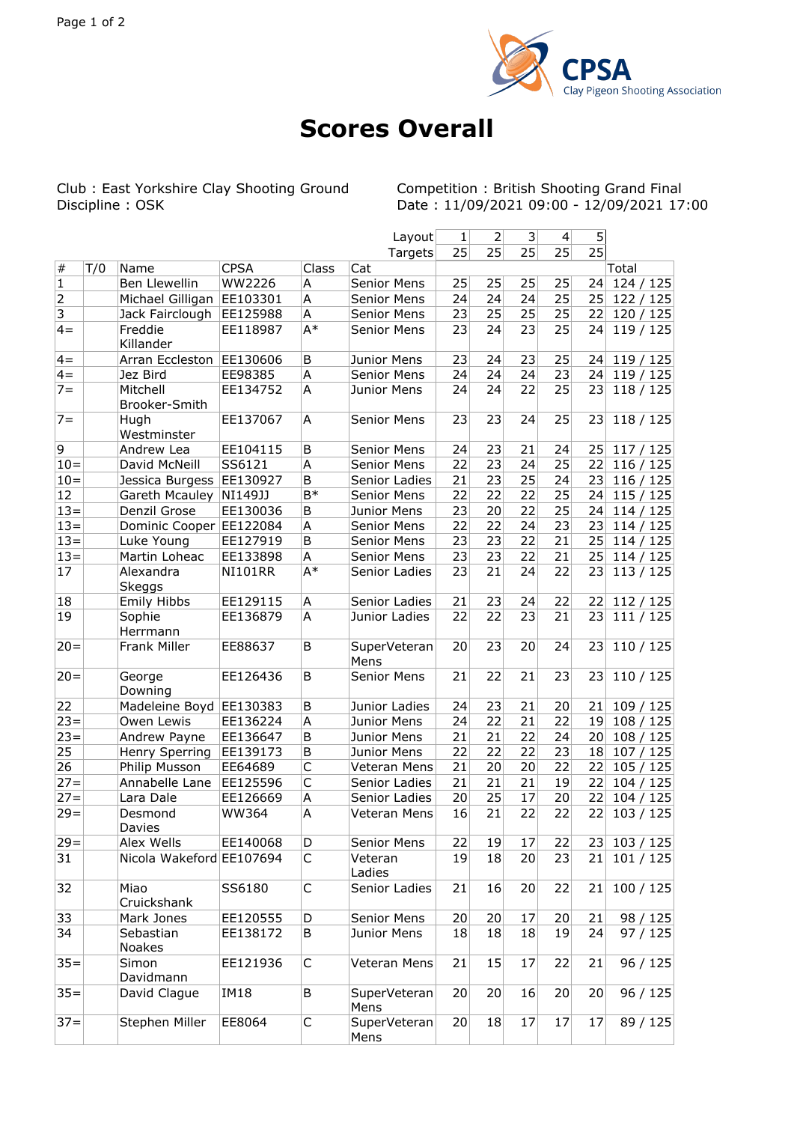

## **Scores Overall**

Club : East Yorkshire Clay Shooting Ground<br>Discipline : OSK

Competition : British Shooting Grand Final<br>Date : 11/09/2021 09:00 - 12/09/2021 17:00

|              |     |                            |                |                | Layout               | 1  | 2  | 3  | $\overline{4}$ | 5               |            |
|--------------|-----|----------------------------|----------------|----------------|----------------------|----|----|----|----------------|-----------------|------------|
|              |     |                            |                |                | Targets              | 25 | 25 | 25 | 25             | $\overline{25}$ |            |
| $\#$         | T/0 | Name                       | <b>CPSA</b>    | Class          | Cat                  |    |    |    |                |                 | Total      |
| $\mathbf{1}$ |     | <b>Ben Llewellin</b>       | WW2226         | Α              | Senior Mens          | 25 | 25 | 25 | 25             | 24              | 124/125    |
| 2            |     | Michael Gilligan           | EE103301       | A              | Senior Mens          | 24 | 24 | 24 | 25             | 25              | 122/125    |
| 3            |     | Jack Fairclough            | EE125988       | Α              | Senior Mens          | 23 | 25 | 25 | 25             | 22              | 120 / 125  |
| $4=$         |     | Freddie<br>Killander       | EE118987       | $A^*$          | Senior Mens          | 23 | 24 | 23 | 25             | 24              | 119/125    |
| $4=$         |     | Arran Eccleston            | EE130606       | B              | Junior Mens          | 23 | 24 | 23 | 25             | 24              | 119/125    |
| $4 =$        |     | Jez Bird                   | EE98385        | A              | Senior Mens          | 24 | 24 | 24 | 23             | 24              | 119/125    |
| $7 =$        |     | Mitchell<br>Brooker-Smith  | EE134752       | A              | Junior Mens          | 24 | 24 | 22 | 25             | 23              | 118/125    |
| $7 =$        |     | Hugh<br>Westminster        | EE137067       | А              | Senior Mens          | 23 | 23 | 24 | 25             | 23              | 118/125    |
| 9            |     | Andrew Lea                 | EE104115       | В              | Senior Mens          | 24 | 23 | 21 | 24             | 25              | 117/125    |
| $10 =$       |     | David McNeill              | SS6121         | A              | Senior Mens          | 22 | 23 | 24 | 25             | 22              | 116 / 125  |
| $10 =$       |     | Jessica Burgess            | EE130927       | B              | Senior Ladies        | 21 | 23 | 25 | 24             | 23              | 116 / 125  |
| 12           |     | Gareth Mcauley             | NI149JJ        | $\mathsf{B}^*$ | Senior Mens          | 22 | 22 | 22 | 25             | 24              | 115/125    |
| $13 =$       |     | Denzil Grose               | EE130036       | B              | Junior Mens          | 23 | 20 | 22 | 25             | 24              | 114/125    |
| $13=$        |     | Dominic Cooper             | EE122084       | A              | Senior Mens          | 22 | 22 | 24 | 23             | 23              | 114/125    |
| $13 =$       |     | Luke Young                 | EE127919       | B              | Senior Mens          | 23 | 23 | 22 | 21             | 25              | 114/125    |
| $13=$        |     | Martin Loheac              | EE133898       | A              | Senior Mens          | 23 | 23 | 22 | 21             | 25              | 114/125    |
| 17           |     | Alexandra<br><b>Skeggs</b> | <b>NI101RR</b> | $A^*$          | Senior Ladies        | 23 | 21 | 24 | 22             | 23              | 113/125    |
| 18           |     | <b>Emily Hibbs</b>         | EE129115       | Α              | Senior Ladies        | 21 | 23 | 24 | 22             | 22              | 112 / 125  |
| 19           |     | Sophie<br>Herrmann         | EE136879       | А              | Junior Ladies        | 22 | 22 | 23 | 21             | 23              | 111 / 125  |
| $20 =$       |     | Frank Miller               | EE88637        | B              | SuperVeteran<br>Mens | 20 | 23 | 20 | 24             | 23              | 110 / 125  |
| $20 =$       |     | George<br>Downing          | EE126436       | B              | Senior Mens          | 21 | 22 | 21 | 23             | 23              | 110/125    |
| 22           |     | Madeleine Boyd             | EE130383       | B              | Junior Ladies        | 24 | 23 | 21 | 20             | 21              | 109/125    |
| $23 =$       |     | Owen Lewis                 | EE136224       | А              | Junior Mens          | 24 | 22 | 21 | 22             | 19              | 108/125    |
| $23 =$       |     | Andrew Payne               | EE136647       | B              | Junior Mens          | 21 | 21 | 22 | 24             | 20 <sub>2</sub> | 108/125    |
| 25           |     | Henry Sperring             | EE139173       | B              | Junior Mens          | 22 | 22 | 22 | 23             | 18              | 107/125    |
| 26           |     | Philip Musson              | EE64689        | C              | Veteran Mens         | 21 | 20 | 20 | 22             | 22              | 105/125    |
| $27 =$       |     | Annabelle Lane             | EE125596       | $\mathsf{C}$   | Senior Ladies        | 21 | 21 | 21 | 19             | 22              | 104 / 125  |
| $27 =$       |     | Lara Dale                  | EE126669       | A              | Senior Ladies        | 20 | 25 | 17 | 20             | 22              | 104 / 125  |
| $29 =$       |     | Desmond<br>Davies          | <b>WW364</b>   | A              | Veteran Mens         | 16 | 21 | 22 | 22             | 22              | 103 / 125  |
| $29 =$       |     | Alex Wells                 | EE140068       | D              | Senior Mens          | 22 | 19 | 17 | 22             |                 | 23 103/125 |
| 31           |     | Nicola Wakeford EE107694   |                | С              | Veteran<br>Ladies    | 19 | 18 | 20 | 23             | 21              | 101/125    |
| 32           |     | Miao<br>Cruickshank        | SS6180         | $\mathsf C$    | Senior Ladies        | 21 | 16 | 20 | 22             | 21              | 100/125    |
| 33           |     | Mark Jones                 | EE120555       | D              | Senior Mens          | 20 | 20 | 17 | 20             | 21              | 98 / 125   |
| 34           |     | Sebastian<br>Noakes        | EE138172       | В              | Junior Mens          | 18 | 18 | 18 | 19             | 24              | 97/125     |
| $35 =$       |     | Simon<br>Davidmann         | EE121936       | C              | Veteran Mens         | 21 | 15 | 17 | 22             | 21              | 96 / 125   |
| $35 =$       |     | David Clague               | <b>IM18</b>    | B              | SuperVeteran<br>Mens | 20 | 20 | 16 | 20             | 20 <sub>1</sub> | 96 / 125   |
| $37 =$       |     | Stephen Miller             | EE8064         | C              | SuperVeteran<br>Mens | 20 | 18 | 17 | 17             | 17              | 89 / 125   |